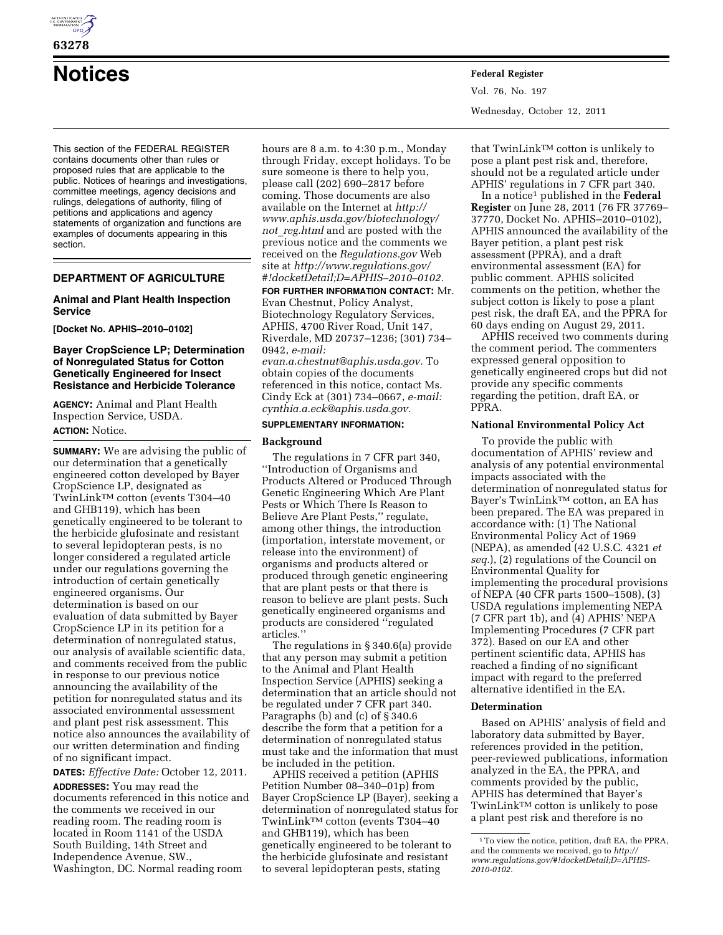

# **63278**

This section of the FEDERAL REGISTER contains documents other than rules or proposed rules that are applicable to the public. Notices of hearings and investigations, committee meetings, agency decisions and rulings, delegations of authority, filing of petitions and applications and agency statements of organization and functions are examples of documents appearing in this section.

# **DEPARTMENT OF AGRICULTURE**

## **Animal and Plant Health Inspection Service**

**[Docket No. APHIS–2010–0102]** 

## **Bayer CropScience LP; Determination of Nonregulated Status for Cotton Genetically Engineered for Insect Resistance and Herbicide Tolerance**

**AGENCY:** Animal and Plant Health Inspection Service, USDA. **ACTION:** Notice.

**SUMMARY:** We are advising the public of our determination that a genetically engineered cotton developed by Bayer CropScience LP, designated as TwinLinkTM cotton (events T304–40 and GHB119), which has been genetically engineered to be tolerant to the herbicide glufosinate and resistant to several lepidopteran pests, is no longer considered a regulated article under our regulations governing the introduction of certain genetically engineered organisms. Our determination is based on our evaluation of data submitted by Bayer CropScience LP in its petition for a determination of nonregulated status, our analysis of available scientific data, and comments received from the public in response to our previous notice announcing the availability of the petition for nonregulated status and its associated environmental assessment and plant pest risk assessment. This notice also announces the availability of our written determination and finding of no significant impact.

**DATES:** *Effective Date:* October 12, 2011.

**ADDRESSES:** You may read the documents referenced in this notice and the comments we received in our reading room. The reading room is located in Room 1141 of the USDA South Building, 14th Street and Independence Avenue, SW., Washington, DC. Normal reading room

hours are 8 a.m. to 4:30 p.m., Monday through Friday, except holidays. To be sure someone is there to help you, please call (202) 690–2817 before coming. Those documents are also available on the Internet at *[http://](http://www.aphis.usda.gov/biotechnology/not_reg.html) [www.aphis.usda.gov/biotechnology/](http://www.aphis.usda.gov/biotechnology/not_reg.html) not*\_*[reg.html](http://www.aphis.usda.gov/biotechnology/not_reg.html)* and are posted with the previous notice and the comments we received on the *Regulations.gov* Web site at *[http://www.regulations.gov/](http://www.regulations.gov/#!docketDetail;D=APHIS-2010-0102) [#!docketDetail;D=APHIS–2010–0102.](http://www.regulations.gov/#!docketDetail;D=APHIS-2010-0102)* 

**FOR FURTHER INFORMATION CONTACT:** Mr. Evan Chestnut, Policy Analyst, Biotechnology Regulatory Services, APHIS, 4700 River Road, Unit 147, Riverdale, MD 20737–1236; (301) 734– 0942, *e-mail:* 

*[evan.a.chestnut@aphis.usda.gov.](mailto:evan.a.chestnut@aphis.usda.gov)* To obtain copies of the documents referenced in this notice, contact Ms. Cindy Eck at (301) 734–0667, *e-mail: [cynthia.a.eck@aphis.usda.gov.](mailto:cynthia.a.eck@aphis.usda.gov)* 

## **SUPPLEMENTARY INFORMATION:**

## **Background**

The regulations in 7 CFR part 340, ''Introduction of Organisms and Products Altered or Produced Through Genetic Engineering Which Are Plant Pests or Which There Is Reason to Believe Are Plant Pests,'' regulate, among other things, the introduction (importation, interstate movement, or release into the environment) of organisms and products altered or produced through genetic engineering that are plant pests or that there is reason to believe are plant pests. Such genetically engineered organisms and products are considered ''regulated articles.''

The regulations in § 340.6(a) provide that any person may submit a petition to the Animal and Plant Health Inspection Service (APHIS) seeking a determination that an article should not be regulated under 7 CFR part 340. Paragraphs (b) and (c) of § 340.6 describe the form that a petition for a determination of nonregulated status must take and the information that must be included in the petition.

APHIS received a petition (APHIS Petition Number 08–340–01p) from Bayer CropScience LP (Bayer), seeking a determination of nonregulated status for TwinLinkTM cotton (events T304–40 and GHB119), which has been genetically engineered to be tolerant to the herbicide glufosinate and resistant to several lepidopteran pests, stating

**Notices Federal Register** Vol. 76, No. 197 Wednesday, October 12, 2011

> that TwinLinkTM cotton is unlikely to pose a plant pest risk and, therefore, should not be a regulated article under APHIS' regulations in 7 CFR part 340.

In a notice<sup>1</sup> published in the **Federal Register** on June 28, 2011 (76 FR 37769– 37770, Docket No. APHIS–2010–0102), APHIS announced the availability of the Bayer petition, a plant pest risk assessment (PPRA), and a draft environmental assessment (EA) for public comment. APHIS solicited comments on the petition, whether the subject cotton is likely to pose a plant pest risk, the draft EA, and the PPRA for 60 days ending on August 29, 2011.

APHIS received two comments during the comment period. The commenters expressed general opposition to genetically engineered crops but did not provide any specific comments regarding the petition, draft EA, or PPRA.

#### **National Environmental Policy Act**

To provide the public with documentation of APHIS' review and analysis of any potential environmental impacts associated with the determination of nonregulated status for Bayer's TwinLinkTM cotton, an EA has been prepared. The EA was prepared in accordance with: (1) The National Environmental Policy Act of 1969 (NEPA), as amended (42 U.S.C. 4321 *et seq.*), (2) regulations of the Council on Environmental Quality for implementing the procedural provisions of NEPA (40 CFR parts 1500–1508), (3) USDA regulations implementing NEPA (7 CFR part 1b), and (4) APHIS' NEPA Implementing Procedures (7 CFR part 372). Based on our EA and other pertinent scientific data, APHIS has reached a finding of no significant impact with regard to the preferred alternative identified in the EA.

#### **Determination**

Based on APHIS' analysis of field and laboratory data submitted by Bayer, references provided in the petition, peer-reviewed publications, information analyzed in the EA, the PPRA, and comments provided by the public, APHIS has determined that Bayer's TwinLinkTM cotton is unlikely to pose a plant pest risk and therefore is no

<sup>1</sup>To view the notice, petition, draft EA, the PPRA, and the comments we received, go to *[http://](http://www.regulations.gov/#!docketDetail;D=APHIS-2010-0102) [www.regulations.gov/#!docketDetail;D=APHIS-](http://www.regulations.gov/#!docketDetail;D=APHIS-2010-0102)[2010-0102.](http://www.regulations.gov/#!docketDetail;D=APHIS-2010-0102)*